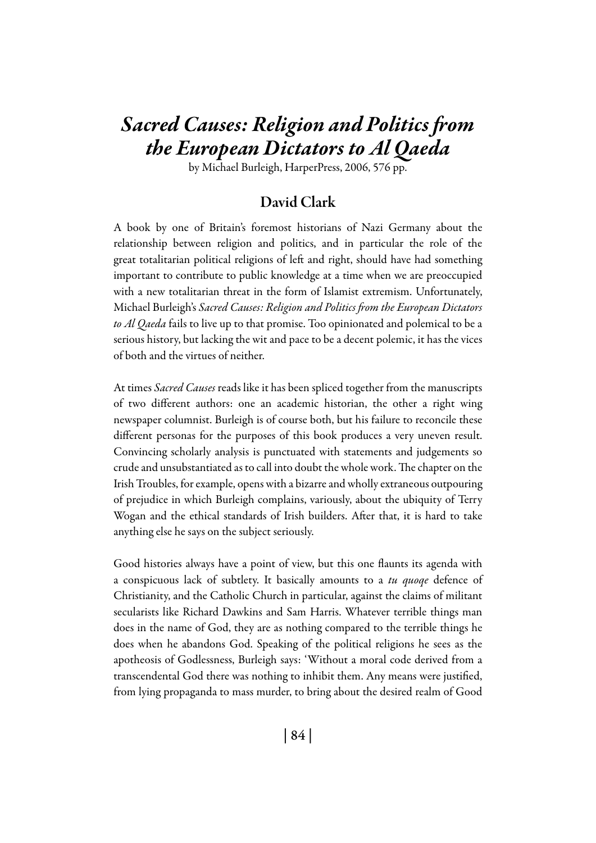# *Sacred Causes: Religion and Politics from the European Dictators to Al Qaeda*

by Michael Burleigh, HarperPress, 2006, 576 pp.

## David Clark

A book by one of Britain's foremost historians of Nazi Germany about the relationship between religion and politics, and in particular the role of the great totalitarian political religions of left and right, should have had something important to contribute to public knowledge at a time when we are preoccupied with a new totalitarian threat in the form of Islamist extremism. Unfortunately, Michael Burleigh's *Sacred Causes: Religion and Politics from the European Dictators to Al Qaeda* fails to live up to that promise. Too opinionated and polemical to be a serious history, but lacking the wit and pace to be a decent polemic, it has the vices of both and the virtues of neither.

At times *Sacred Causes* reads like it has been spliced together from the manuscripts of two different authors: one an academic historian, the other a right wing newspaper columnist. Burleigh is of course both, but his failure to reconcile these different personas for the purposes of this book produces a very uneven result. Convincing scholarly analysis is punctuated with statements and judgements so crude and unsubstantiated as to call into doubt the whole work. The chapter on the Irish Troubles, for example, opens with a bizarre and wholly extraneous outpouring of prejudice in which Burleigh complains, variously, about the ubiquity of Terry Wogan and the ethical standards of Irish builders. After that, it is hard to take anything else he says on the subject seriously.

Good histories always have a point of view, but this one flaunts its agenda with a conspicuous lack of subtlety. It basically amounts to a *tu quoqe* defence of Christianity, and the Catholic Church in particular, against the claims of militant secularists like Richard Dawkins and Sam Harris. Whatever terrible things man does in the name of God, they are as nothing compared to the terrible things he does when he abandons God. Speaking of the political religions he sees as the apotheosis of Godlessness, Burleigh says: 'Without a moral code derived from a transcendental God there was nothing to inhibit them. Any means were justified, from lying propaganda to mass murder, to bring about the desired realm of Good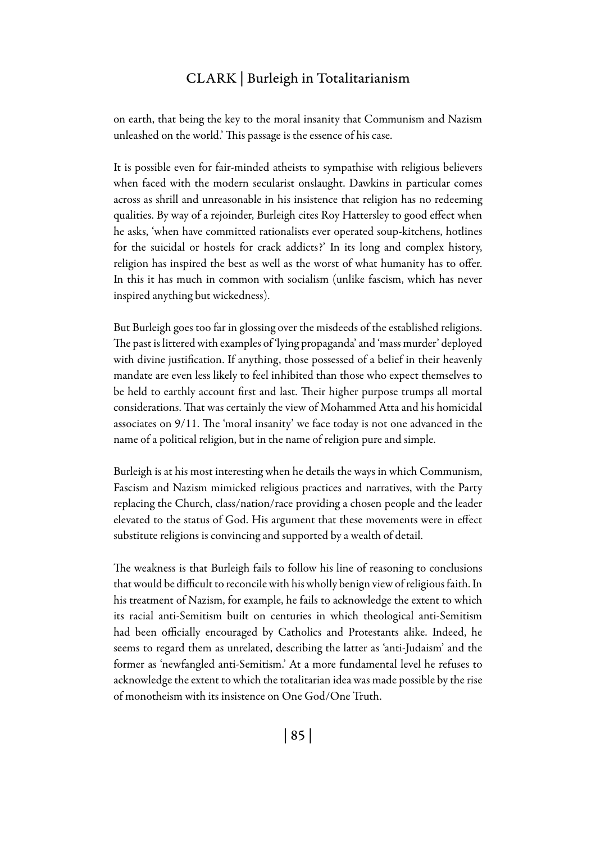### Clark | Burleigh in Totalitarianism

on earth, that being the key to the moral insanity that Communism and Nazism unleashed on the world.' This passage is the essence of his case.

It is possible even for fair-minded atheists to sympathise with religious believers when faced with the modern secularist onslaught. Dawkins in particular comes across as shrill and unreasonable in his insistence that religion has no redeeming qualities. By way of a rejoinder, Burleigh cites Roy Hattersley to good effect when he asks, 'when have committed rationalists ever operated soup-kitchens, hotlines for the suicidal or hostels for crack addicts?' In its long and complex history, religion has inspired the best as well as the worst of what humanity has to offer. In this it has much in common with socialism (unlike fascism, which has never inspired anything but wickedness).

But Burleigh goes too far in glossing over the misdeeds of the established religions. The past is littered with examples of 'lying propaganda' and 'mass murder' deployed with divine justification. If anything, those possessed of a belief in their heavenly mandate are even less likely to feel inhibited than those who expect themselves to be held to earthly account first and last. Their higher purpose trumps all mortal considerations. That was certainly the view of Mohammed Atta and his homicidal associates on 9/11. The 'moral insanity' we face today is not one advanced in the name of a political religion, but in the name of religion pure and simple.

Burleigh is at his most interesting when he details the ways in which Communism, Fascism and Nazism mimicked religious practices and narratives, with the Party replacing the Church, class/nation/race providing a chosen people and the leader elevated to the status of God. His argument that these movements were in effect substitute religions is convincing and supported by a wealth of detail.

The weakness is that Burleigh fails to follow his line of reasoning to conclusions that would be difficult to reconcile with his wholly benign view of religious faith. In his treatment of Nazism, for example, he fails to acknowledge the extent to which its racial anti-Semitism built on centuries in which theological anti-Semitism had been officially encouraged by Catholics and Protestants alike. Indeed, he seems to regard them as unrelated, describing the latter as 'anti-Judaism' and the former as 'newfangled anti-Semitism.' At a more fundamental level he refuses to acknowledge the extent to which the totalitarian idea was made possible by the rise of monotheism with its insistence on One God/One Truth.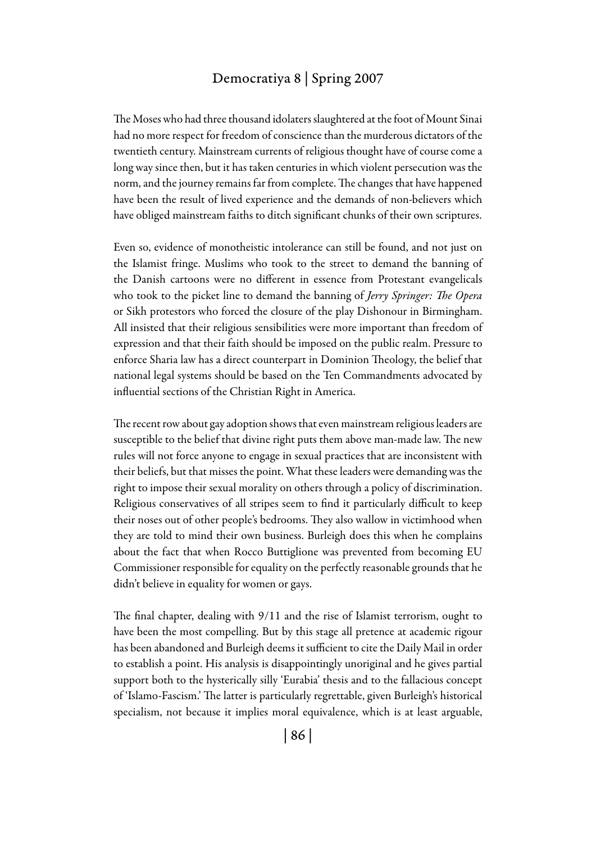#### Democratiya 8 | Spring 2007

The Moses who had three thousand idolaters slaughtered at the foot of Mount Sinai had no more respect for freedom of conscience than the murderous dictators of the twentieth century. Mainstream currents of religious thought have of course come a long way since then, but it has taken centuries in which violent persecution was the norm, and the journey remains far from complete. The changes that have happened have been the result of lived experience and the demands of non-believers which have obliged mainstream faiths to ditch significant chunks of their own scriptures.

Even so, evidence of monotheistic intolerance can still be found, and not just on the Islamist fringe. Muslims who took to the street to demand the banning of the Danish cartoons were no different in essence from Protestant evangelicals who took to the picket line to demand the banning of *Jerry Springer: The Opera* or Sikh protestors who forced the closure of the play Dishonour in Birmingham. All insisted that their religious sensibilities were more important than freedom of expression and that their faith should be imposed on the public realm. Pressure to enforce Sharia law has a direct counterpart in Dominion Theology, the belief that national legal systems should be based on the Ten Commandments advocated by influential sections of the Christian Right in America.

The recent row about gay adoption shows that even mainstream religious leaders are susceptible to the belief that divine right puts them above man-made law. The new rules will not force anyone to engage in sexual practices that are inconsistent with their beliefs, but that misses the point. What these leaders were demanding was the right to impose their sexual morality on others through a policy of discrimination. Religious conservatives of all stripes seem to find it particularly difficult to keep their noses out of other people's bedrooms. They also wallow in victimhood when they are told to mind their own business. Burleigh does this when he complains about the fact that when Rocco Buttiglione was prevented from becoming EU Commissioner responsible for equality on the perfectly reasonable grounds that he didn't believe in equality for women or gays.

The final chapter, dealing with 9/11 and the rise of Islamist terrorism, ought to have been the most compelling. But by this stage all pretence at academic rigour has been abandoned and Burleigh deems it sufficient to cite the Daily Mail in order to establish a point. His analysis is disappointingly unoriginal and he gives partial support both to the hysterically silly 'Eurabia' thesis and to the fallacious concept of 'Islamo-Fascism.' The latter is particularly regrettable, given Burleigh's historical specialism, not because it implies moral equivalence, which is at least arguable,

| 86 |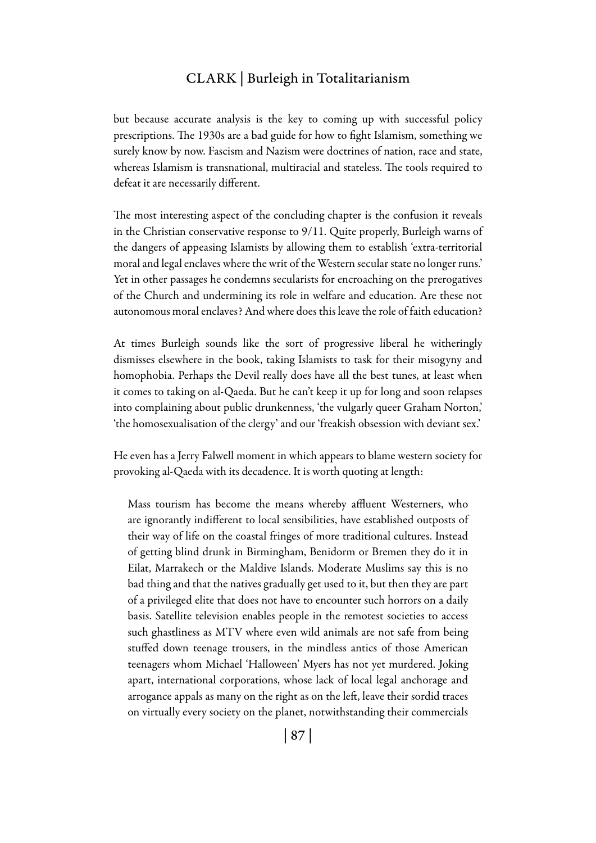#### Clark | Burleigh in Totalitarianism

but because accurate analysis is the key to coming up with successful policy prescriptions. The 1930s are a bad guide for how to fight Islamism, something we surely know by now. Fascism and Nazism were doctrines of nation, race and state, whereas Islamism is transnational, multiracial and stateless. The tools required to defeat it are necessarily different.

The most interesting aspect of the concluding chapter is the confusion it reveals in the Christian conservative response to 9/11. Quite properly, Burleigh warns of the dangers of appeasing Islamists by allowing them to establish 'extra-territorial moral and legal enclaves where the writ of the Western secular state no longer runs.' Yet in other passages he condemns secularists for encroaching on the prerogatives of the Church and undermining its role in welfare and education. Are these not autonomous moral enclaves? And where does this leave the role of faith education?

At times Burleigh sounds like the sort of progressive liberal he witheringly dismisses elsewhere in the book, taking Islamists to task for their misogyny and homophobia. Perhaps the Devil really does have all the best tunes, at least when it comes to taking on al-Qaeda. But he can't keep it up for long and soon relapses into complaining about public drunkenness, 'the vulgarly queer Graham Norton,' 'the homosexualisation of the clergy' and our 'freakish obsession with deviant sex.'

He even has a Jerry Falwell moment in which appears to blame western society for provoking al-Qaeda with its decadence. It is worth quoting at length:

Mass tourism has become the means whereby affluent Westerners, who are ignorantly indifferent to local sensibilities, have established outposts of their way of life on the coastal fringes of more traditional cultures. Instead of getting blind drunk in Birmingham, Benidorm or Bremen they do it in Eilat, Marrakech or the Maldive Islands. Moderate Muslims say this is no bad thing and that the natives gradually get used to it, but then they are part of a privileged elite that does not have to encounter such horrors on a daily basis. Satellite television enables people in the remotest societies to access such ghastliness as MTV where even wild animals are not safe from being stuffed down teenage trousers, in the mindless antics of those American teenagers whom Michael 'Halloween' Myers has not yet murdered. Joking apart, international corporations, whose lack of local legal anchorage and arrogance appals as many on the right as on the left, leave their sordid traces on virtually every society on the planet, notwithstanding their commercials